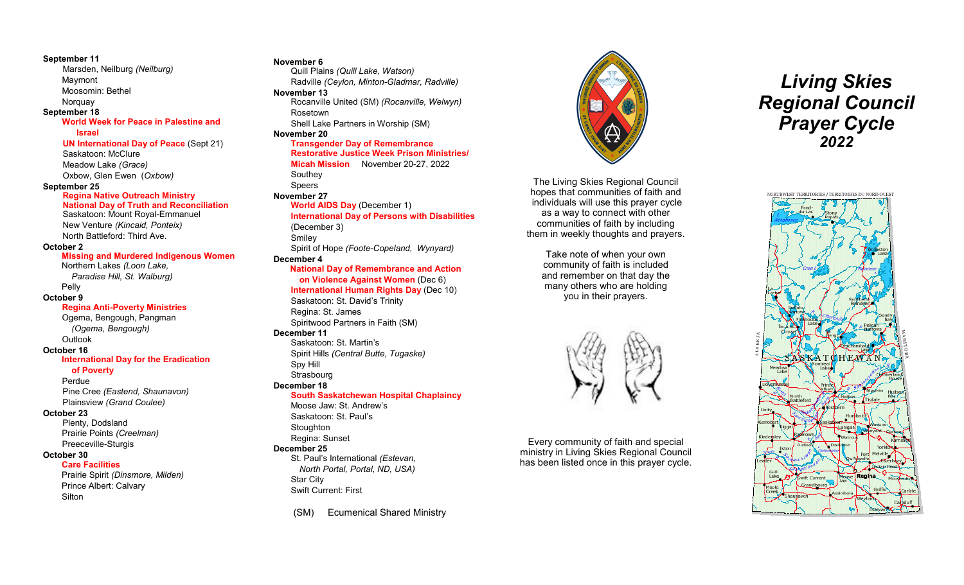#### **September 11**

Marsden, Neilburg *(Neilburg)* Maymont Moosomin: Bethel

## **Norguay**

## **September 18**

#### **World Week for Peace in Palestine and Israel**

**UN International Day of Peace** (Sept 21) Saskatoon: McClure Meadow Lake *(Grace)* Oxbow, Glen Ewen (*Oxbow)*

#### **September 25**

#### **Regina Native Outreach Ministry**

**National Day of Truth and Reconciliation** Saskatoon: Mount Royal-Emmanuel New Venture *(Kincaid, Ponteix)* North Battleford: Third Ave.

#### **October 2**

#### **Missing and Murdered Indigenous Women**

Northern Lakes *(Loon Lake, Paradise Hill, St. Walburg)*

Pelly

#### **October 9**

#### **Regina Anti-Poverty Ministries**

Ogema, Bengough, Pangman *(Ogema, Bengough)* **Outlook** 

#### **October 16**

#### **International Day for the Eradication**

**of Poverty** 

Perdue

Pine Cree *(Eastend, Shaunavon)* Plainsview *(Grand Coulee)*

#### **October 23**

Plenty, Dodsland Prairie Points *(Creelman)* Preeceville-Sturgis

#### **October 30**

**Care Facilities**

Prairie Spirit *(Dinsmore, Milden)* Prince Albert: Calvary **Silton** 

#### **November 6**

Quill Plains *(Quill Lake, Watson)* Radville *(Ceylon, Minton-Gladmar, Radville)*  **November 13** Rocanville United (SM) *(Rocanville, Welwyn)* Rosetown Shell Lake Partners in Worship (SM)

#### **November 20**

#### **Transgender Day of Remembrance Restorative Justice Week Prison Ministries/ Micah Mission** November 20-27, 2022

Southey Speers

## **November 27**

#### **World AIDS Day** (December 1) **International Day of Persons with Disabilities**  (December 3) Smiley

Spirit of Hope *(Foote-Copeland, Wynyard)*

#### **December 4**

#### **National Day of Remembrance and Action**

**on Violence Against Women** (Dec 6) **International Human Rights Day** (Dec 10) Saskatoon: St. David's Trinity Regina: St. James Spiritwood Partners in Faith (SM) **December 11** Saskatoon: St. Martin's

Spirit Hills *(Central Butte, Tugaske)* Spy Hill **Strasbourg** 

#### **December 18**

#### **South Saskatchewan Hospital Chaplaincy**

Moose Jaw: St. Andrew's Saskatoon: St. Paul's **Stoughton** Regina: Sunset **December 25**  St. Paul's International *(Estevan,* 

*North Portal, Portal, ND, USA)*  Star City Swift Current: First

(SM) Ecumenical Shared Ministry



The Living Skies Regional Council hopes that communities of faith and individuals will use this prayer cycle as a way to connect with other communities of faith by including them in weekly thoughts and prayers.

> Take note of when your own community of faith is included and remember on that day the many others who are holding you in their prayers.



Every community of faith and special ministry in Living Skies Regional Council has been listed once in this prayer cycle.

# *Living Skies Regional Council Prayer Cycle 2022*